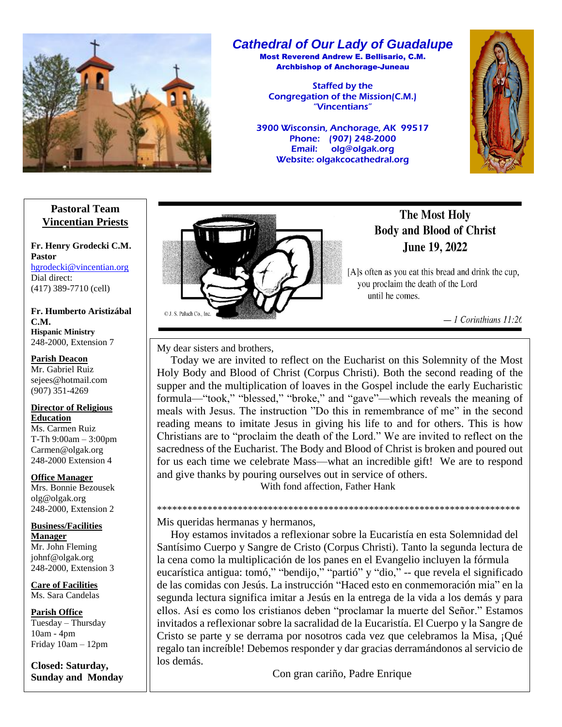

### **Cathedral of Our Lady of Guadalupe Most Reverend Andrew E. Bellisario, C.M.**

**Archbishop of Anchorage-Juneau** 

**Staffed by the Congregation of the Mission(C.M.)** "Vincentians"

3900 Wisconsin, Anchorage, AK 99517 Phone: (907) 248-2000 Email: olg@olgak.org Website: olgakcocathedral.org



### **Pastoral Team Vincentian Priests**

#### Fr. Henry Grodecki C.M. **Pastor**

hgrodecki@vincentian.org Dial direct:  $(417)$  389-7710 (cell)

Fr. Humberto Aristizábal **C.M. Hispanic Ministry** 248-2000. Extension 7

#### **Parish Deacon**

Mr. Gabriel Ruiz sejees@hotmail.com  $(907)$  351-4269

#### **Director of Religious Education**

Ms. Carmen Ruiz T-Th  $9:00am - 3:00pm$ Carmen@olgak.org 248-2000 Extension 4

#### **Office Manager**

Mrs. Bonnie Bezousek olg@olgak.org 248-2000, Extension 2

## **Business/Facilities**

**Manager** Mr. John Fleming johnf@olgak.org 248-2000, Extension 3

**Care of Facilities** Ms. Sara Candelas

### **Parish Office**

Tuesday - Thursday  $10am - 4pm$ Friday  $10am - 12pm$ 

Closed: Saturday, **Sunday and Monday** 



## The Most Holy **Body and Blood of Christ June 19, 2022**

[A]s often as you eat this bread and drink the cup, you proclaim the death of the Lord until he comes.

— 1 Corinthians 11:26

My dear sisters and brothers,

Today we are invited to reflect on the Eucharist on this Solemnity of the Most Holy Body and Blood of Christ (Corpus Christi). Both the second reading of the supper and the multiplication of loaves in the Gospel include the early Eucharistic formula—"took," "blessed," "broke," and "gave"—which reveals the meaning of meals with Jesus. The instruction "Do this in remembrance of me" in the second reading means to imitate Jesus in giving his life to and for others. This is how Christians are to "proclaim the death of the Lord." We are invited to reflect on the sacredness of the Eucharist. The Body and Blood of Christ is broken and poured out for us each time we celebrate Mass—what an incredible gift! We are to respond and give thanks by pouring ourselves out in service of others.

With fond affection. Father Hank

## Mis queridas hermanas y hermanos,

Hoy estamos invitados a reflexionar sobre la Eucaristía en esta Solemnidad del Santísimo Cuerpo y Sangre de Cristo (Corpus Christi). Tanto la segunda lectura de la cena como la multiplicación de los panes en el Evangelio incluyen la fórmula eucarística antigua: tomó," "bendijo," "partió" y "dio," -- que revela el significado de las comidas con Jesús. La instrucción "Haced esto en conmemoración mia" en la segunda lectura significa imitar a Jesús en la entrega de la vida a los demás y para ellos. Así es como los cristianos deben "proclamar la muerte del Señor." Estamos invitados a reflexionar sobre la sacralidad de la Eucaristía. El Cuerpo y la Sangre de Cristo se parte y se derrama por nosotros cada vez que celebramos la Misa, ¡Qué regalo tan increíble! Debemos responder y dar gracias derramándonos al servicio de los demás.

Con gran cariño, Padre Enrique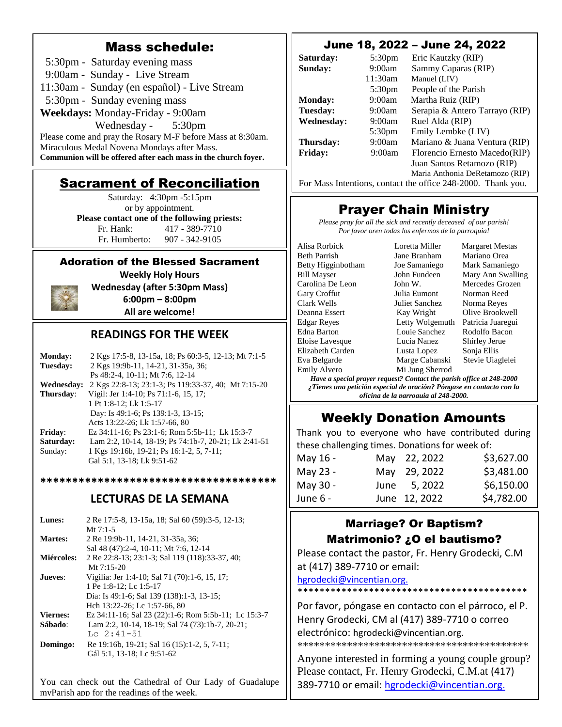# Mass schedule:

5:30pm - Saturday evening mass

9:00am - Sunday - Live Stream

11:30am - Sunday (en español) - Live Stream

5:30pm - Sunday evening mass

**Weekdays:** Monday-Friday - 9:00am

Wednesday - 5:30pm

Please come and pray the Rosary M-F before Mass at 8:30am. Miraculous Medal Novena Mondays after Mass.

**Communion will be offered after each mass in the church foyer.**

## Sacrament of Reconciliation

Saturday: 4:30pm -5:15pm or by appointment. **Please contact one of the following priests:**<br>Fr. Hank:  $417 - 389 - 7710$ Fr. Hank: 417 - 389-7710 Fr. Humberto: 907 - 342-9105

### Adoration of the Blessed Sacrament

**Weekly Holy Hours** 

**Wednesday (after 5:30pm Mass)**



 $\overline{\phantom{a}}$ 

 $\overline{\phantom{a}}$ 

  **6:00pm – 8:00pm All are welcome!**

## **READINGS FOR THE WEEK**

| <b>Monday:</b> | 2 Kgs 17:5-8, 13-15a, 18; Ps 60:3-5, 12-13; Mt 7:1-5 |
|----------------|------------------------------------------------------|
| Tuesday:       | 2 Kgs 19:9b-11, 14-21, 31-35a, 36;                   |
|                | Ps 48:2-4, 10-11; Mt 7:6, 12-14                      |
| Wednesday:     | 2 Kgs 22:8-13; 23:1-3; Ps 119:33-37, 40; Mt 7:15-20  |
| Thursday:      | Vigil: Jer 1:4-10; Ps 71:1-6, 15, 17;                |
|                | 1 Pt 1:8-12; Lk 1:5-17                               |
|                | Day: Is 49:1-6; Ps 139:1-3, 13-15;                   |
|                | Acts 13:22-26; Lk 1:57-66, 80                        |
| Friday:        | Ez 34:11-16; Ps 23:1-6; Rom 5:5b-11; Lk 15:3-7       |
| Saturday:      | Lam 2:2, 10-14, 18-19; Ps 74:1b-7, 20-21; Lk 2:41-51 |
| Sunday:        | 1 Kgs 19:16b, 19-21; Ps 16:1-2, 5, 7-11;             |
|                | Gal 5:1, 13-18; Lk 9:51-62                           |
|                |                                                      |

## **LECTURAS DE LA SEMANA**

**\*\*\*\*\*\*\*\*\*\*\*\*\*\*\*\*\*\*\*\*\*\*\*\*\*\*\*\*\*\*\*\*\*\*\*\*\***

| Lunes:          | 2 Re 17:5-8, 13-15a, 18; Sal 60 (59):3-5, 12-13;     |
|-----------------|------------------------------------------------------|
|                 | Mt $7:1-5$                                           |
| <b>Martes:</b>  | 2 Re 19:9b-11, 14-21, 31-35a, 36;                    |
|                 | Sal 48 (47):2-4, 10-11; Mt 7:6, 12-14                |
| Miércoles:      | 2 Re 22:8-13; 23:1-3; Sal 119 (118):33-37, 40;       |
|                 | Mt $7:15-20$                                         |
| Jueves:         | Vigilia: Jer 1:4-10; Sal 71 (70):1-6, 15, 17;        |
|                 | 1 Pe 1:8-12; Lc 1:5-17                               |
|                 | Día: Is 49:1-6; Sal 139 (138):1-3, 13-15;            |
|                 | Hch 13:22-26; Lc 1:57-66, 80                         |
| <b>Viernes:</b> | Ez 34:11-16; Sal 23 (22):1-6; Rom 5:5b-11; Lc 15:3-7 |
| Sábado:         | Lam 2:2, 10-14, 18-19; Sal 74 (73):1b-7, 20-21;      |
|                 | $Lc$ 2:41-51                                         |
| Domingo:        | Re 19:16b, 19-21; Sal 16 (15):1-2, 5, 7-11;          |
|                 | Gál 5:1, 13-18; Le 9:51-62                           |
|                 |                                                      |
|                 |                                                      |

You can check out the Cathedral of Our Lady of Guadalupe myParish app for the readings of the week.

## June 18, 2022 – June 24, 2022

| Saturday:         | 5              |
|-------------------|----------------|
| Sunday:           | 9:             |
|                   | 11:            |
|                   | 5:             |
| <b>Monday:</b>    | 9:             |
| Tuesday:          | 9:             |
| <b>Wednesday:</b> | 9 <sub>i</sub> |
|                   | 5:             |
| Thursday:         | 9 <sub>2</sub> |
| <b>Friday:</b>    | 9              |
|                   |                |

#### **Som** Eric Kautzky (RIP) 00am Sammy Caparas (RIP) :30am Manuel (LIV) 5:30pm People of the Parish 00am Martha Ruiz (RIP) 00am Serapia & Antero Tarrayo (RIP) **Wednesday:** 9:00am Ruel Alda (RIP) 5:30pm Emily Lembke (LIV) **Thursday:** 9:00am Mariano & Juana Ventura (RIP) :00am Florencio Ernesto Macedo(RIP) Juan Santos Retamozo (RIP) Maria Anthonia DeRetamozo (RIP)

For Mass Intentions, contact the office 248-2000. Thank you.

## Prayer Chain Ministry

*Please pray for all the sick and recently deceased of our parish! Por favor oren todas los enfermos de la parroquia!*

Alisa Rorbick Loretta Miller Margaret Mestas Beth Parrish Jane Branham Mariano Orea Betty Higginbotham Joe Samaniego Mark Samaniego Bill Mayser John Fundeen Mary Ann Swalling Carolina De Leon John W. Mercedes Grozen Gary Croffut **Julia Eumont** Norman Reed Clark Wells Juliet Sanchez Norma Reyes Deanna Essert Kay Wright Olive Brookwell Edgar Reyes Letty Wolgemuth Patricia Juaregui Edna Barton Louie Sanchez Rodolfo Bacon Eloise Lavesque Lucia Nanez Shirley Jerue Elizabeth Carden Lusta Lopez Sonja Ellis Eva Belgarde Marge Cabanski Stevie Uiaglelei Emily Alvero Mi Jung Sherrod

*Have a special prayer request? Contact the parish office at 248-2000 ¿Tienes una petición especial de oración? Póngase en contacto con la oficina de la parroquia al 248-2000.*

## Weekly Donation Amounts

Thank you to everyone who have contributed during these challenging times. Donations for week of:

| May 16 - | May 22, 2022  | \$3,627.00 |
|----------|---------------|------------|
| May 23 - | May 29, 2022  | \$3,481.00 |
| May 30 - | June 5, 2022  | \$6,150.00 |
| June 6 - | June 12, 2022 | \$4,782.00 |

## Marriage? Or Baptism?

## Matrimonio? ¿O el bautismo?

Please contact the pastor, Fr. Henry Grodecki, C.M at (417) 389-7710 or email:

[hgrodecki@vincentian.org.](mailto:hgrodecki@vincentian.org)

\*\*\*\*\*\*\*\*\*\*\*\*\*\*\*\*\*\*\*\*\*\*\*\*\*\*\*\*\*\*\*\*\*\*\*\*\*\*\*\*\*\*

Por favor, póngase en contacto con el párroco, el P. Henry Grodecki, CM al (417) 389-7710 o correo electrónico: hgrodecki@vincentian.org. \*\*\*\*\*\*\*\*\*\*\*\*\*\*\*\*\*\*\*\*\*\*\*\*\*\*\*\*\*\*\*\*\*\*\*\*\*\*\*\*\*\*

Anyone interested in forming a young couple group? Please contact, Fr. Henry Grodecki, C.M.at (417) 389-7710 or email: [hgrodecki@vincentian.org.](mailto:hgrodecki@vincentian.org)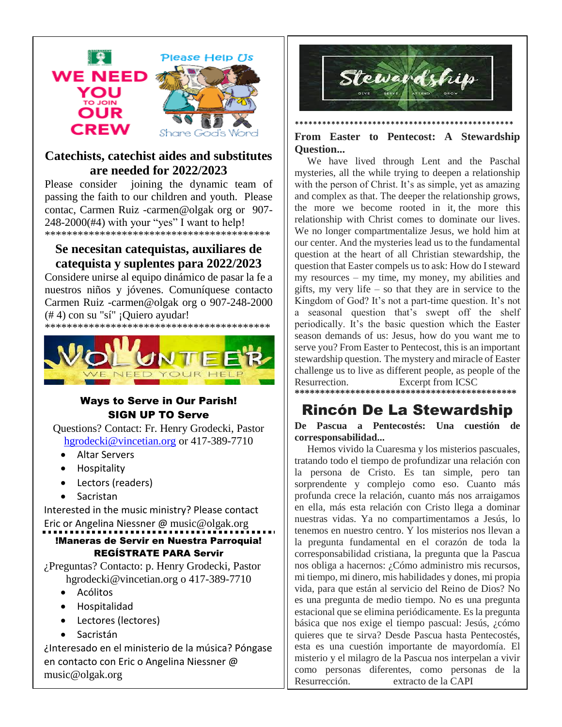

## Catechists, catechist aides and substitutes are needed for 2022/2023

Please consider joining the dynamic team of passing the faith to our children and youth. Please contac, Carmen Ruiz -carmen@olgak org or 907-248-2000(#4) with your "yes" I want to help! 

## Se necesitan catequistas, auxiliares de categuista y suplentes para 2022/2023

Considere unirse al equipo dinámico de pasar la fe a nuestros niños y jóvenes. Comuníquese contacto Carmen Ruiz -carmen@olgak org o 907-248-2000  $(\# 4)$  con su "sí" ¡Quiero ayudar!



## **Ways to Serve in Our Parish! SIGN UP TO Serve**

**Ouestions? Contact: Fr. Henry Grodecki, Pastor** hgrodecki@vincetian.org or 417-389-7710

- **Altar Servers**
- Hospitality
- Lectors (readers)
- Sacristan

Interested in the music ministry? Please contact

Eric or Angelina Niessner @ music@olgak.org

#### !Maneras de Servir en Nuestra Parroquia! **REGÍSTRATE PARA Servir**

¿Preguntas? Contacto: p. Henry Grodecki, Pastor hgrodecki@vincetian.org o 417-389-7710

- Acólitos
- Hospitalidad
- Lectores (lectores)
- Sacristán

¿Interesado en el ministerio de la música? Póngase en contacto con Eric o Angelina Niessner @ music@olgak.org



### From Easter to Pentecost: A Stewardship **Ouestion...**

We have lived through Lent and the Paschal mysteries, all the while trying to deepen a relationship with the person of Christ. It's as simple, yet as amazing and complex as that. The deeper the relationship grows, the more we become rooted in it, the more this relationship with Christ comes to dominate our lives. We no longer compartmentalize Jesus, we hold him at our center. And the mysteries lead us to the fundamental question at the heart of all Christian stewardship, the question that Easter compels us to ask: How do I steward my resources  $-$  my time, my money, my abilities and gifts, my very life  $-$  so that they are in service to the Kingdom of God? It's not a part-time question. It's not a seasonal question that's swept off the shelf periodically. It's the basic question which the Easter season demands of us: Jesus, how do you want me to serve you? From Easter to Pentecost, this is an important stewardship question. The mystery and miracle of Easter challenge us to live as different people, as people of the Resurrection. Excerpt from ICSC

# Rincón De La Stewardship

De Pascua a Pentecostés: Una cuestión de corresponsabilidad...

Hemos vivido la Cuaresma y los misterios pascuales, tratando todo el tiempo de profundizar una relación con la persona de Cristo. Es tan simple, pero tan sorprendente y complejo como eso. Cuanto más profunda crece la relación, cuanto más nos arraigamos en ella, más esta relación con Cristo llega a dominar nuestras vidas. Ya no compartimentamos a Jesús, lo tenemos en nuestro centro. Y los misterios nos llevan a la pregunta fundamental en el corazón de toda la corresponsabilidad cristiana, la pregunta que la Pascua nos obliga a hacernos: ¿Cómo administro mis recursos, mi tiempo, mi dinero, mis habilidades y dones, mi propia vida, para que están al servicio del Reino de Dios? No es una pregunta de medio tiempo. No es una pregunta estacional que se elimina periódicamente. Es la pregunta básica que nos exige el tiempo pascual: Jesús, ¿cómo quieres que te sirva? Desde Pascua hasta Pentecostés, esta es una cuestión importante de mayordomía. El misterio y el milagro de la Pascua nos interpelan a vivir como personas diferentes, como personas de la Resurrección. extracto de la CAPI